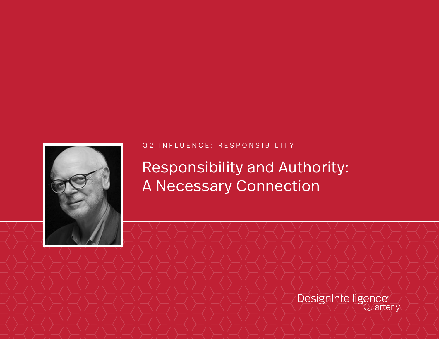

#### Q2 INFLUENCE: RESPONSIBILITY

Responsibility and Authority: A Necessary Connection

DesignIntelligence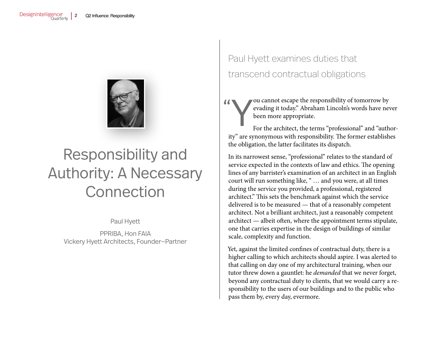

# Responsibility and Authority: A Necessary Connection

Paul Hyett

PPRIBA, Hon FAIA Vickery Hyett Architects, Founder—Partner

# Paul Hyett examines duties that transcend contractual obligations

 $\frac{1}{\sqrt{2}}$ 

### Y ou cannot escape the responsibility of tomorrow by evading it today." Abraham Lincoln's words have never been more appropriate.

For the architect, the terms "professional" and "authority" are synonymous with responsibility. The former establishes the obligation, the latter facilitates its dispatch.

In its narrowest sense, "professional" relates to the standard of service expected in the contexts of law and ethics. The opening lines of any barrister's examination of an architect in an English court will run something like, " … and you were, at all times during the service you provided, a professional, registered architect." This sets the benchmark against which the service delivered is to be measured — that of a reasonably competent architect. Not a brilliant architect, just a reasonably competent architect — albeit often, where the appointment terms stipulate, one that carries expertise in the design of buildings of similar scale, complexity and function.

Yet, against the limited confines of contractual duty, there is a higher calling to which architects should aspire. I was alerted to that calling on day one of my architectural training, when our tutor threw down a gauntlet: he *demanded* that we never forget, beyond any contractual duty to clients, that we would carry a responsibility to the users of our buildings and to the public who pass them by, every day, evermore.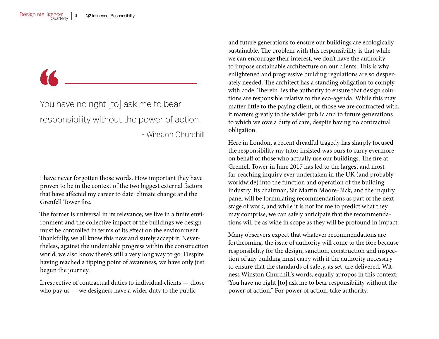## You have no right [to] ask me to bear responsibility without the power of action. - Winston Churchill

I have never forgotten those words. How important they have proven to be in the context of the two biggest external factors that have affected my career to date: climate change and the Grenfell Tower fire.

The former is universal in its relevance; we live in a finite environment and the collective impact of the buildings we design must be controlled in terms of its effect on the environment. Thankfully, we all know this now and surely accept it. Nevertheless, against the undeniable progress within the construction world, we also know there's still a very long way to go: Despite having reached a tipping point of awareness, we have only just begun the journey.

Irrespective of contractual duties to individual clients — those who pay us — we designers have a wider duty to the public

and future generations to ensure our buildings are ecologically sustainable. The problem with this responsibility is that while we can encourage their interest, we don't have the authority to impose sustainable architecture on our clients. This is why enlightened and progressive building regulations are so desperately needed. The architect has a standing obligation to comply with code: Therein lies the authority to ensure that design solutions are responsible relative to the eco-agenda. While this may matter little to the paying client, or those we are contracted with, it matters greatly to the wider public and to future generations to which we owe a duty of care, despite having no contractual obligation.

Here in London, a recent dreadful tragedy has sharply focused the responsibility my tutor insisted was ours to carry evermore on behalf of those who actually use our buildings. The fire at Grenfell Tower in June 2017 has led to the largest and most far-reaching inquiry ever undertaken in the UK (and probably worldwide) into the function and operation of the building industry. Its chairman, Sir Martin Moore-Bick, and the inquiry panel will be formulating recommendations as part of the next stage of work, and while it is not for me to predict what they may comprise, we can safely anticipate that the recommendations will be as wide in scope as they will be profound in impact.

Many observers expect that whatever recommendations are forthcoming, the issue of authority will come to the fore because responsibility for the design, sanction, construction and inspection of any building must carry with it the authority necessary to ensure that the standards of safety, as set, are delivered. Witness Winston Churchill's words, equally apropos in this context: "You have no right [to] ask me to bear responsibility without the power of action." For power of action, take authority.